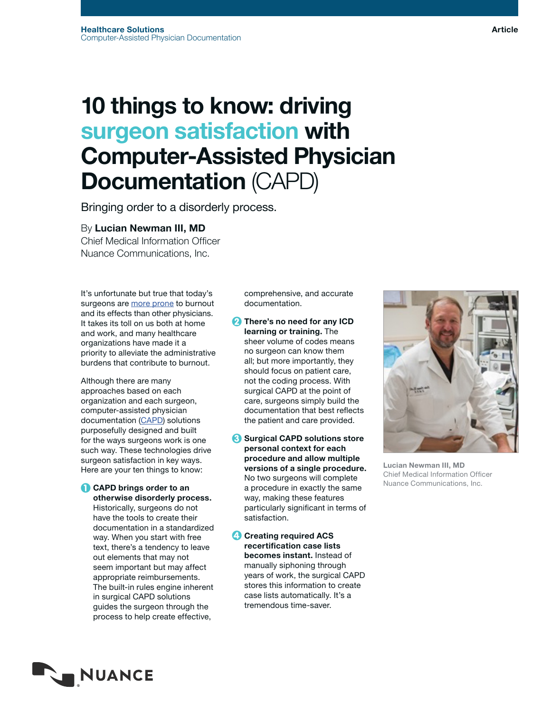# 10 things to know: driving surgeon satisfaction with Computer-Assisted Physician Documentation (CAPD)

Bringing order to a disorderly process.

## By Lucian Newman III, MD

Chief Medical Information Officer Nuance Communications, Inc.

It's unfortunate but true that today's surgeons are [more prone](https://www.ncbi.nlm.nih.gov/pmc/articles/PMC4884544/) to burnout and its effects than other physicians. It takes its toll on us both at home and work, and many healthcare organizations have made it a priority to alleviate the administrative burdens that contribute to burnout.

Although there are many approaches based on each organization and each surgeon, computer-assisted physician documentation [\(CAPD](https://www.nuance.com/healthcare/provider-solutions/computer-assisted-physician-documentation/surgical-capd.html)) solutions purposefully designed and built for the ways surgeons work is one such way. These technologies drive surgeon satisfaction in key ways. Here are your ten things to know:

**1** CAPD brings order to an otherwise disorderly process. Historically, surgeons do not have the tools to create their documentation in a standardized way. When you start with free text, there's a tendency to leave out elements that may not seem important but may affect appropriate reimbursements. The built-in rules engine inherent in surgical CAPD solutions guides the surgeon through the process to help create effective,

comprehensive, and accurate documentation.

- **2** There's no need for any ICD learning or training. The sheer volume of codes means no surgeon can know them all; but more importantly, they should focus on patient care, not the coding process. With surgical CAPD at the point of care, surgeons simply build the documentation that best reflects the patient and care provided.
- 8 Surgical CAPD solutions store personal context for each procedure and allow multiple versions of a single procedure. No two surgeons will complete a procedure in exactly the same way, making these features particularly significant in terms of satisfaction.

**4** Creating required ACS recertification case lists becomes instant. Instead of manually siphoning through years of work, the surgical CAPD stores this information to create case lists automatically. It's a tremendous time-saver.



Lucian Newman III, MD Chief Medical Information Officer Nuance Communications, Inc.